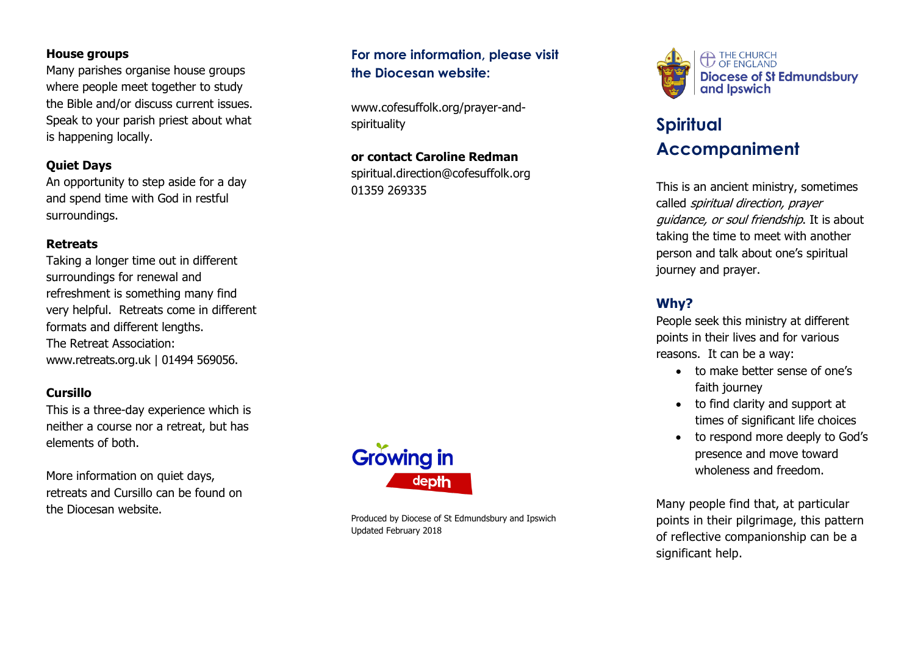#### **House groups**

Many parishes organise house groups where people meet together to study the Bible and/or discuss current issues. Speak to your parish priest about what is happening locally.

#### **Quiet Days**

An opportunity to step aside for a day and spend time with God in restful surroundings.

#### **Retreats**

Taking a longer time out in different surroundings for renewal and refreshment is something many find very helpful. Retreats come in different formats and different lengths. The Retreat Association: [www.retreats.org.uk](http://www.retreats.org.uk/) | 01494 569056 .

## **Cursillo**

This is a three -day experience which is neither a course nor a retreat, but has elements of both.

More information on quiet days, retreat s and Cursillo can be found on the Diocesan website.



Produced by Diocese of St Edmundsbury and Ipswich Updated February 2018

**For more information, please visit**

**the Diocesan website :**

[spirituality](http://www.cofesuffolk.org/prayer-and-spirituality)

01359 269335

[www.cofesuffolk.org/prayer](http://www.cofesuffolk.org/prayer-and-spirituality) -and -

**or contact Caroline Redman** [spiritual.direction@cofesuffolk.org](mailto:spiritual.direction@cofesuffolk.org)



# **Spiritual Accompaniment**

This is an ancient ministry, sometimes called spiritual direction, prayer quidance, or soul friendship. It is about taking the time to meet with another person and talk about one's spiritual journey and prayer.

## **Why?**

People seek this ministry at different points in their lives and for various reasons. It can be a way :

- to make better sense of one's faith journey
- to find clarity and support at times of significant life choices
- to respond more deeply to God's presence and move toward wholeness and freedom.

Many people find that, at particular points in their pilgrimage, this pattern of reflective companionship can be a significant help.